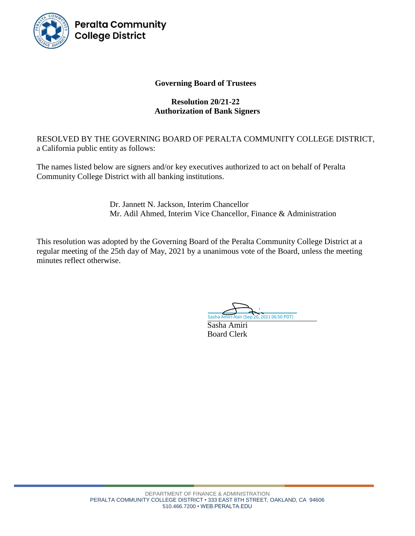

**Peralta Community College District** 

## **Governing Board of Trustees**

## **Resolution 20/21-22 Authorization of Bank Signers**

RESOLVED BY THE GOVERNING BOARD OF PERALTA COMMUNITY COLLEGE DISTRICT, a California public entity as follows:

The names listed below are signers and/or key executives authorized to act on behalf of Peralta Community College District with all banking institutions.

> Dr. Jannett N. Jackson, Interim Chancellor Mr. Adil Ahmed, Interim Vice Chancellor, Finance & Administration

This resolution was adopted by the Governing Board of the Peralta Community College District at a regular meeting of the 25th day of May, 2021 by a unanimous vote of the Board, unless the meeting minutes reflect otherwise.

[Sasha Amiri-Nair \(Sep 20, 2021 06:50 PDT\)](https://peralta.na2.echosign.com/verifier?tx=CBJCHBCAABAAiLdrFwJmL5op4t6lY20bSVhS6skobUEc)

Sasha Amiri Board Clerk